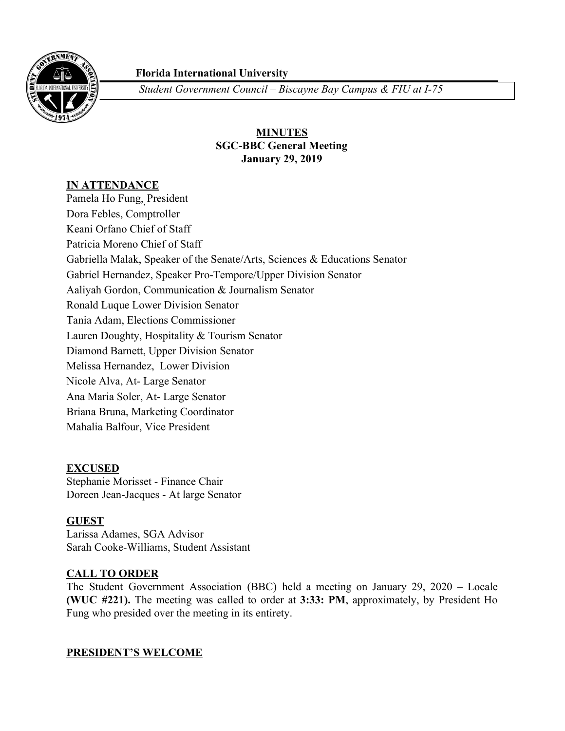

# **Florida International University**

*Student Government Council – Biscayne Bay Campus & FIU at I-75*

# **MINUTES SGC-BBC General Meeting January 29, 2019**

# **IN ATTENDANCE**

Pamela Ho Fung, , President Dora Febles, Comptroller Keani Orfano Chief of Staff Patricia Moreno Chief of Staff Gabriella Malak, Speaker of the Senate/Arts, Sciences & Educations Senator Gabriel Hernandez, Speaker Pro-Tempore/Upper Division Senator Aaliyah Gordon, Communication & Journalism Senator Ronald Luque Lower Division Senator Tania Adam, Elections Commissioner Lauren Doughty, Hospitality & Tourism Senator Diamond Barnett, Upper Division Senator Melissa Hernandez, Lower Division Nicole Alva, At- Large Senator Ana Maria Soler, At- Large Senator Briana Bruna, Marketing Coordinator Mahalia Balfour, Vice President

# **EXCUSED**

Stephanie Morisset - Finance Chair Doreen Jean-Jacques - At large Senator

# **GUEST**

Larissa Adames, SGA Advisor Sarah Cooke-Williams, Student Assistant

# **CALL TO ORDER**

The Student Government Association (BBC) held a meeting on January 29, 2020 – Locale **(WUC #221).** The meeting was called to order at **3:33: PM**, approximately, by President Ho Fung who presided over the meeting in its entirety.

# **PRESIDENT'S WELCOME**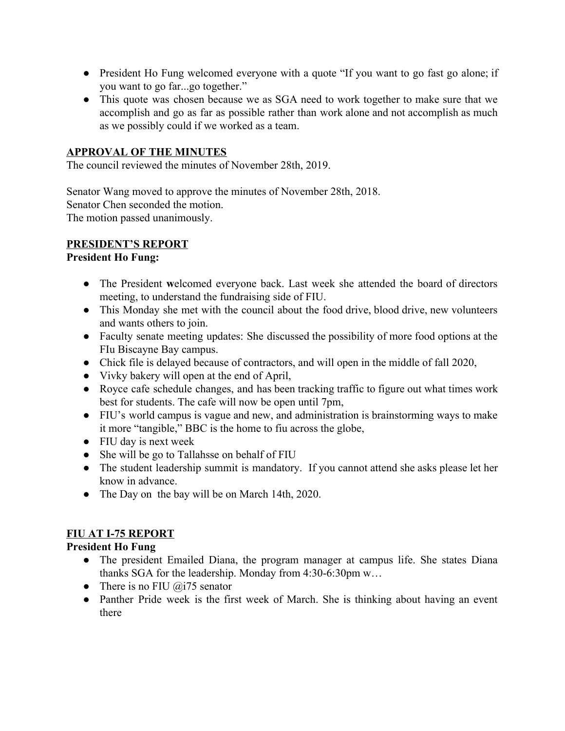- President Ho Fung welcomed everyone with a quote "If you want to go fast go alone; if you want to go far...go together."
- This quote was chosen because we as SGA need to work together to make sure that we accomplish and go as far as possible rather than work alone and not accomplish as much as we possibly could if we worked as a team.

# **APPROVAL OF THE MINUTES**

The council reviewed the minutes of November 28th, 2019.

Senator Wang moved to approve the minutes of November 28th, 2018. Senator Chen seconded the motion. The motion passed unanimously.

# **PRESIDENT'S REPORT**

# **President Ho Fung:**

- The President **w**elcomed everyone back. Last week she attended the board of directors meeting, to understand the fundraising side of FIU.
- This Monday she met with the council about the food drive, blood drive, new volunteers and wants others to join.
- Faculty senate meeting updates: She discussed the possibility of more food options at the FIu Biscayne Bay campus.
- Chick file is delayed because of contractors, and will open in the middle of fall 2020,
- Vivky bakery will open at the end of April,
- Royce cafe schedule changes, and has been tracking traffic to figure out what times work best for students. The cafe will now be open until 7pm,
- FIU's world campus is vague and new, and administration is brainstorming ways to make it more "tangible," BBC is the home to fiu across the globe,
- FIU day is next week
- She will be go to Tallahsse on behalf of FIU
- The student leadership summit is mandatory. If you cannot attend she asks please let her know in advance.
- The Day on the bay will be on March 14th, 2020.

# **FIU AT I-75 REPORT**

# **President Ho Fung**

- The president Emailed Diana, the program manager at campus life. She states Diana thanks SGA for the leadership. Monday from 4:30-6:30pm w…
- There is no FIU  $@i75$  senator
- Panther Pride week is the first week of March. She is thinking about having an event there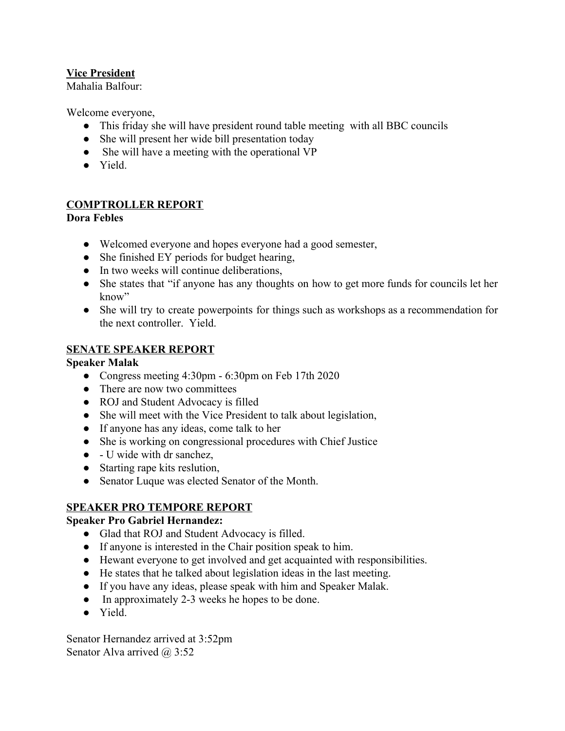# **Vice President**

Mahalia Balfour:

Welcome everyone,

- This friday she will have president round table meeting with all BBC councils
- She will present her wide bill presentation today
- She will have a meeting with the operational VP
- Yield.

# **COMPTROLLER REPORT**

# **Dora Febles**

- Welcomed everyone and hopes everyone had a good semester,
- She finished EY periods for budget hearing,
- In two weeks will continue deliberations.
- She states that "if anyone has any thoughts on how to get more funds for councils let her know"
- She will try to create powerpoints for things such as workshops as a recommendation for the next controller. Yield.

# **SENATE SPEAKER REPORT**

## **Speaker Malak**

- Congress meeting 4:30pm 6:30pm on Feb 17th 2020
- There are now two committees
- ROJ and Student Advocacy is filled
- She will meet with the Vice President to talk about legislation,
- If anyone has any ideas, come talk to her
- She is working on congressional procedures with Chief Justice
- $\bullet$  U wide with dr sanchez,
- Starting rape kits reslution,
- Senator Luque was elected Senator of the Month.

# **SPEAKER PRO TEMPORE REPORT**

# **Speaker Pro Gabriel Hernandez:**

- Glad that ROJ and Student Advocacy is filled.
- If anyone is interested in the Chair position speak to him.
- Hewant everyone to get involved and get acquainted with responsibilities.
- He states that he talked about legislation ideas in the last meeting.
- If you have any ideas, please speak with him and Speaker Malak.
- In approximately 2-3 weeks he hopes to be done.
- Yield.

Senator Hernandez arrived at 3:52pm Senator Alva arrived @ 3:52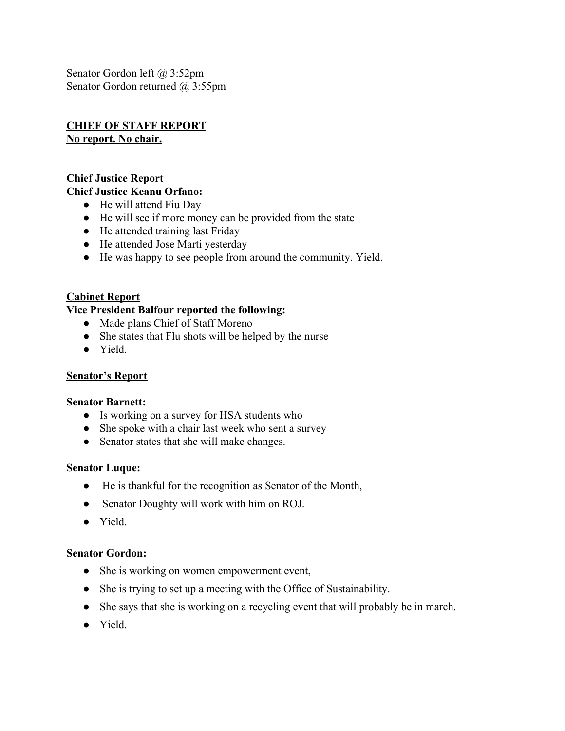Senator Gordon left @ 3:52pm Senator Gordon returned @ 3:55pm

# **CHIEF OF STAFF REPORT**

**No report. No chair.**

# **Chief Justice Report**

# **Chief Justice Keanu Orfano:**

- He will attend Fiu Day
- He will see if more money can be provided from the state
- He attended training last Friday
- He attended Jose Marti yesterday
- He was happy to see people from around the community. Yield.

# **Cabinet Report**

### **Vice President Balfour reported the following:**

- Made plans Chief of Staff Moreno
- She states that Flu shots will be helped by the nurse
- Yield.

# **Senator's Report**

#### **Senator Barnett:**

- Is working on a survey for HSA students who
- She spoke with a chair last week who sent a survey
- Senator states that she will make changes.

#### **Senator Luque:**

- He is thankful for the recognition as Senator of the Month,
- Senator Doughty will work with him on ROJ.
- Yield.

# **Senator Gordon:**

- She is working on women empowerment event,
- She is trying to set up a meeting with the Office of Sustainability.
- She says that she is working on a recycling event that will probably be in march.
- Yield.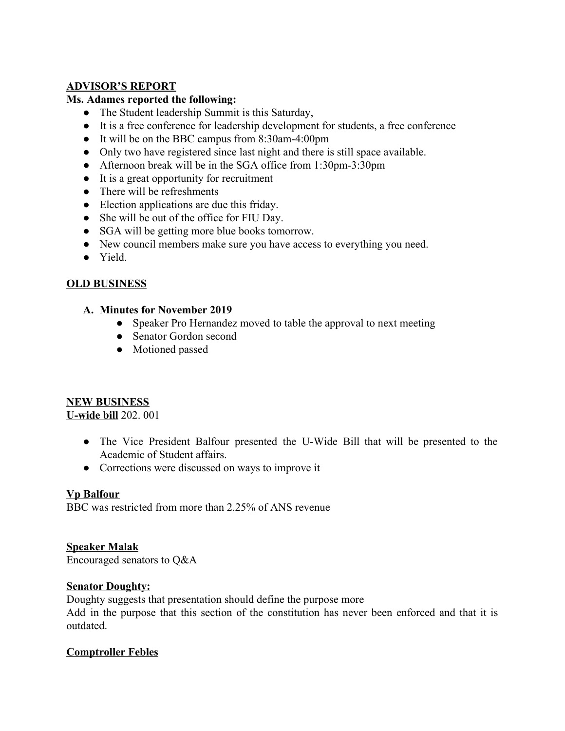# **ADVISOR'S REPORT**

# **Ms. Adames reported the following:**

- The Student leadership Summit is this Saturday,
- It is a free conference for leadership development for students, a free conference
- It will be on the BBC campus from 8:30am-4:00pm
- Only two have registered since last night and there is still space available.
- Afternoon break will be in the SGA office from 1:30pm-3:30pm
- It is a great opportunity for recruitment
- There will be refreshments
- Election applications are due this friday.
- She will be out of the office for FIU Day.
- SGA will be getting more blue books tomorrow.
- New council members make sure you have access to everything you need.
- Yield.

# **OLD BUSINESS**

#### **A. Minutes for November 2019**

- Speaker Pro Hernandez moved to table the approval to next meeting
- Senator Gordon second
- Motioned passed

# **NEW BUSINESS**

**U-wide bill** 202. 001

- The Vice President Balfour presented the U-Wide Bill that will be presented to the Academic of Student affairs.
- Corrections were discussed on ways to improve it

#### **Vp Balfour**

BBC was restricted from more than 2.25% of ANS revenue

#### **Speaker Malak**

Encouraged senators to Q&A

#### **Senator Doughty:**

Doughty suggests that presentation should define the purpose more Add in the purpose that this section of the constitution has never been enforced and that it is outdated.

# **Comptroller Febles**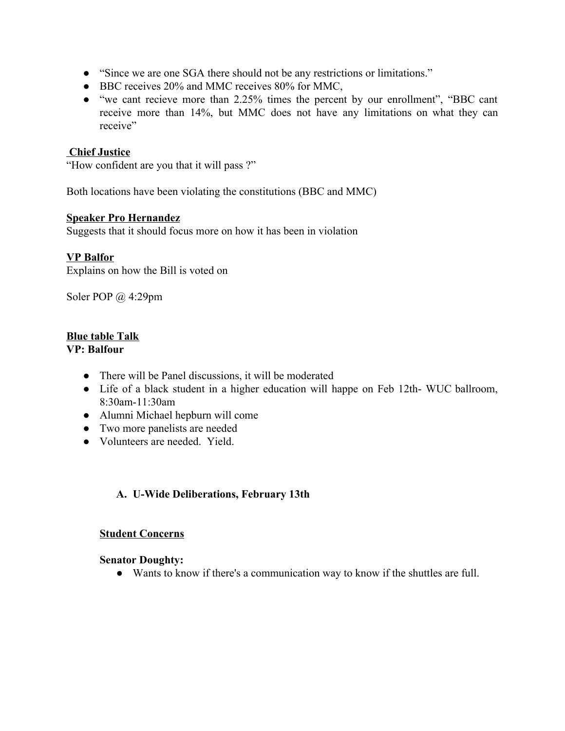- "Since we are one SGA there should not be any restrictions or limitations."
- BBC receives 20% and MMC receives 80% for MMC,
- "we cant recieve more than 2.25% times the percent by our enrollment", "BBC cant receive more than 14%, but MMC does not have any limitations on what they can receive"

#### **Chief Justice**

"How confident are you that it will pass ?"

Both locations have been violating the constitutions (BBC and MMC)

#### **Speaker Pro Hernandez**

Suggests that it should focus more on how it has been in violation

# **VP Balfor**

Explains on how the Bill is voted on

Soler POP @ 4:29pm

# **Blue table Talk**

### **VP: Balfour**

- There will be Panel discussions, it will be moderated
- Life of a black student in a higher education will happe on Feb 12th- WUC ballroom, 8:30am-11:30am
- Alumni Michael hepburn will come
- Two more panelists are needed
- Volunteers are needed. Yield.

# **A. U-Wide Deliberations, February 13th**

#### **Student Concerns**

#### **Senator Doughty:**

● Wants to know if there's a communication way to know if the shuttles are full.